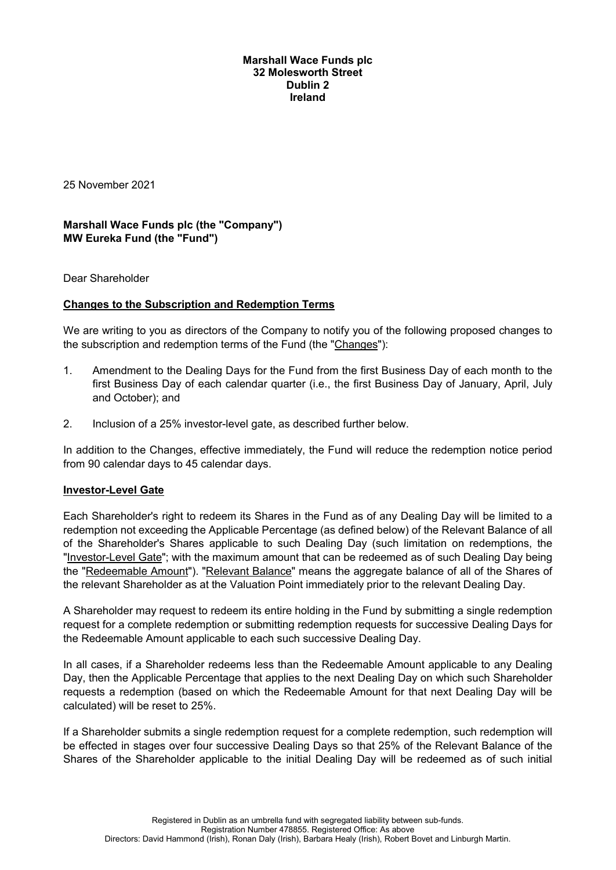#### **Marshall Wace Funds plc 32 Molesworth Street Dublin 2 Ireland**

25 November 2021

# **Marshall Wace Funds plc (the "Company") MW Eureka Fund (the "Fund")**

Dear Shareholder

## **Changes to the Subscription and Redemption Terms**

We are writing to you as directors of the Company to notify you of the following proposed changes to the subscription and redemption terms of the Fund (the "Changes"):

- 1. Amendment to the Dealing Days for the Fund from the first Business Day of each month to the first Business Day of each calendar quarter (i.e., the first Business Day of January, April, July and October); and
- 2. Inclusion of a 25% investor-level gate, as described further below.

In addition to the Changes, effective immediately, the Fund will reduce the redemption notice period from 90 calendar days to 45 calendar days.

#### **Investor-Level Gate**

Each Shareholder's right to redeem its Shares in the Fund as of any Dealing Day will be limited to a redemption not exceeding the Applicable Percentage (as defined below) of the Relevant Balance of all of the Shareholder's Shares applicable to such Dealing Day (such limitation on redemptions, the "Investor-Level Gate"; with the maximum amount that can be redeemed as of such Dealing Day being the "Redeemable Amount"). "Relevant Balance" means the aggregate balance of all of the Shares of the relevant Shareholder as at the Valuation Point immediately prior to the relevant Dealing Day.

A Shareholder may request to redeem its entire holding in the Fund by submitting a single redemption request for a complete redemption or submitting redemption requests for successive Dealing Days for the Redeemable Amount applicable to each such successive Dealing Day.

In all cases, if a Shareholder redeems less than the Redeemable Amount applicable to any Dealing Day, then the Applicable Percentage that applies to the next Dealing Day on which such Shareholder requests a redemption (based on which the Redeemable Amount for that next Dealing Day will be calculated) will be reset to 25%.

If a Shareholder submits a single redemption request for a complete redemption, such redemption will be effected in stages over four successive Dealing Days so that 25% of the Relevant Balance of the Shares of the Shareholder applicable to the initial Dealing Day will be redeemed as of such initial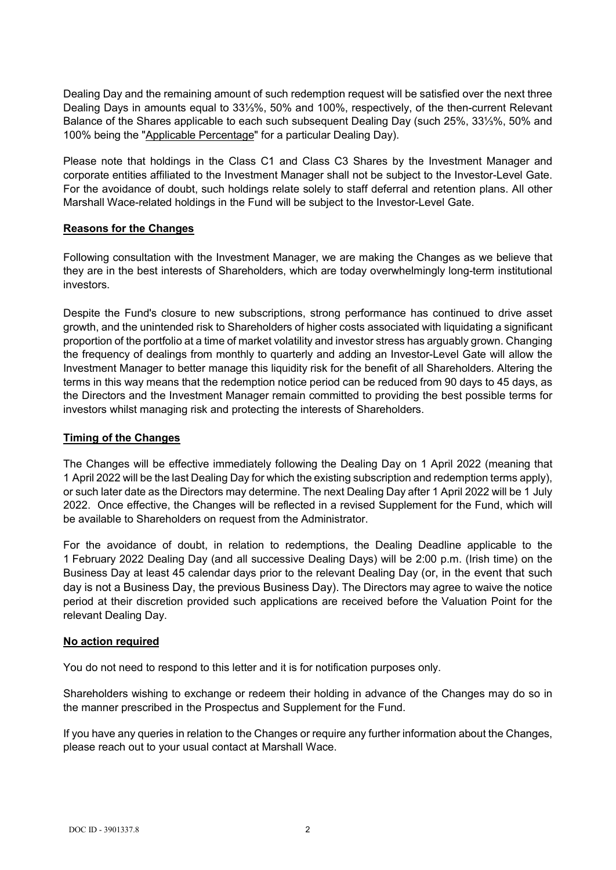Dealing Day and the remaining amount of such redemption request will be satisfied over the next three Dealing Days in amounts equal to 33⅓%, 50% and 100%, respectively, of the then-current Relevant Balance of the Shares applicable to each such subsequent Dealing Day (such 25%, 33⅓%, 50% and 100% being the "Applicable Percentage" for a particular Dealing Day).

Please note that holdings in the Class C1 and Class C3 Shares by the Investment Manager and corporate entities affiliated to the Investment Manager shall not be subject to the Investor-Level Gate. For the avoidance of doubt, such holdings relate solely to staff deferral and retention plans. All other Marshall Wace-related holdings in the Fund will be subject to the Investor-Level Gate.

### **Reasons for the Changes**

Following consultation with the Investment Manager, we are making the Changes as we believe that they are in the best interests of Shareholders, which are today overwhelmingly long-term institutional investors.

Despite the Fund's closure to new subscriptions, strong performance has continued to drive asset growth, and the unintended risk to Shareholders of higher costs associated with liquidating a significant proportion of the portfolio at a time of market volatility and investor stress has arguably grown. Changing the frequency of dealings from monthly to quarterly and adding an Investor-Level Gate will allow the Investment Manager to better manage this liquidity risk for the benefit of all Shareholders. Altering the terms in this way means that the redemption notice period can be reduced from 90 days to 45 days, as the Directors and the Investment Manager remain committed to providing the best possible terms for investors whilst managing risk and protecting the interests of Shareholders.

## **Timing of the Changes**

The Changes will be effective immediately following the Dealing Day on 1 April 2022 (meaning that 1 April 2022 will be the last Dealing Day for which the existing subscription and redemption terms apply), or such later date as the Directors may determine. The next Dealing Day after 1 April 2022 will be 1 July 2022. Once effective, the Changes will be reflected in a revised Supplement for the Fund, which will be available to Shareholders on request from the Administrator.

For the avoidance of doubt, in relation to redemptions, the Dealing Deadline applicable to the 1 February 2022 Dealing Day (and all successive Dealing Days) will be 2:00 p.m. (Irish time) on the Business Day at least 45 calendar days prior to the relevant Dealing Day (or, in the event that such day is not a Business Day, the previous Business Day). The Directors may agree to waive the notice period at their discretion provided such applications are received before the Valuation Point for the relevant Dealing Day.

#### **No action required**

You do not need to respond to this letter and it is for notification purposes only.

Shareholders wishing to exchange or redeem their holding in advance of the Changes may do so in the manner prescribed in the Prospectus and Supplement for the Fund.

If you have any queries in relation to the Changes or require any further information about the Changes, please reach out to your usual contact at Marshall Wace.